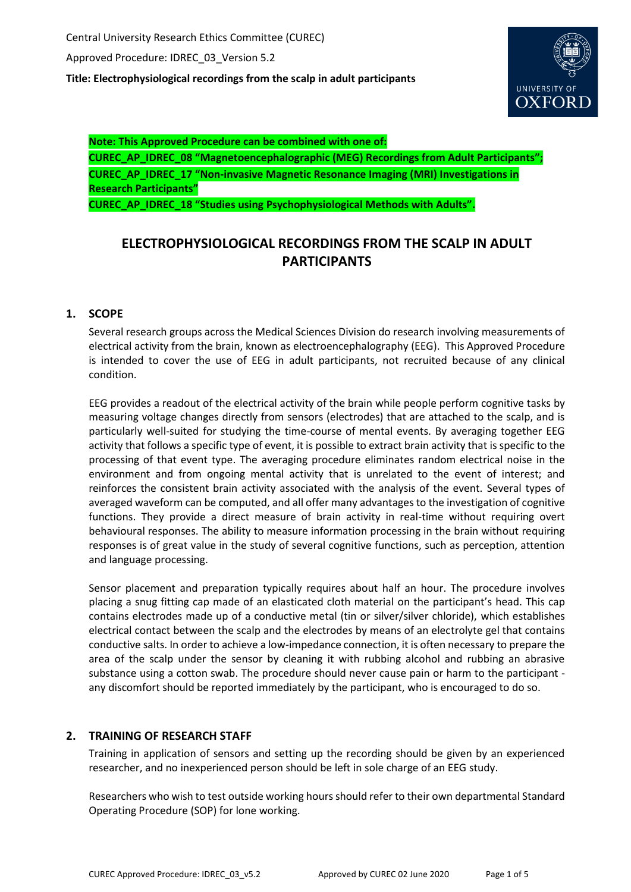Approved Procedure: IDREC\_03\_Version 5.2

**Title: Electrophysiological recordings from the scalp in adult participants**



**Note: This Approved Procedure can be combined with one of:**

**CUREC\_AP\_IDREC\_08 "Magnetoencephalographic (MEG) Recordings from Adult Participants"; CUREC\_AP\_IDREC\_17 "Non-invasive Magnetic Resonance Imaging (MRI) Investigations in Research Participants"**

**CUREC\_AP\_IDREC\_18 "Studies using Psychophysiological Methods with Adults".**

# **ELECTROPHYSIOLOGICAL RECORDINGS FROM THE SCALP IN ADULT PARTICIPANTS**

# **1. SCOPE**

Several research groups across the Medical Sciences Division do research involving measurements of electrical activity from the brain, known as electroencephalography (EEG). This Approved Procedure is intended to cover the use of EEG in adult participants, not recruited because of any clinical condition.

EEG provides a readout of the electrical activity of the brain while people perform cognitive tasks by measuring voltage changes directly from sensors (electrodes) that are attached to the scalp, and is particularly well-suited for studying the time-course of mental events. By averaging together EEG activity that follows a specific type of event, it is possible to extract brain activity that is specific to the processing of that event type. The averaging procedure eliminates random electrical noise in the environment and from ongoing mental activity that is unrelated to the event of interest; and reinforces the consistent brain activity associated with the analysis of the event. Several types of averaged waveform can be computed, and all offer many advantages to the investigation of cognitive functions. They provide a direct measure of brain activity in real-time without requiring overt behavioural responses. The ability to measure information processing in the brain without requiring responses is of great value in the study of several cognitive functions, such as perception, attention and language processing.

Sensor placement and preparation typically requires about half an hour. The procedure involves placing a snug fitting cap made of an elasticated cloth material on the participant's head. This cap contains electrodes made up of a conductive metal (tin or silver/silver chloride), which establishes electrical contact between the scalp and the electrodes by means of an electrolyte gel that contains conductive salts. In order to achieve a low-impedance connection, it is often necessary to prepare the area of the scalp under the sensor by cleaning it with rubbing alcohol and rubbing an abrasive substance using a cotton swab. The procedure should never cause pain or harm to the participant any discomfort should be reported immediately by the participant, who is encouraged to do so.

# **2. TRAINING OF RESEARCH STAFF**

Training in application of sensors and setting up the recording should be given by an experienced researcher, and no inexperienced person should be left in sole charge of an EEG study.

Researchers who wish to test outside working hours should refer to their own departmental Standard Operating Procedure (SOP) for lone working.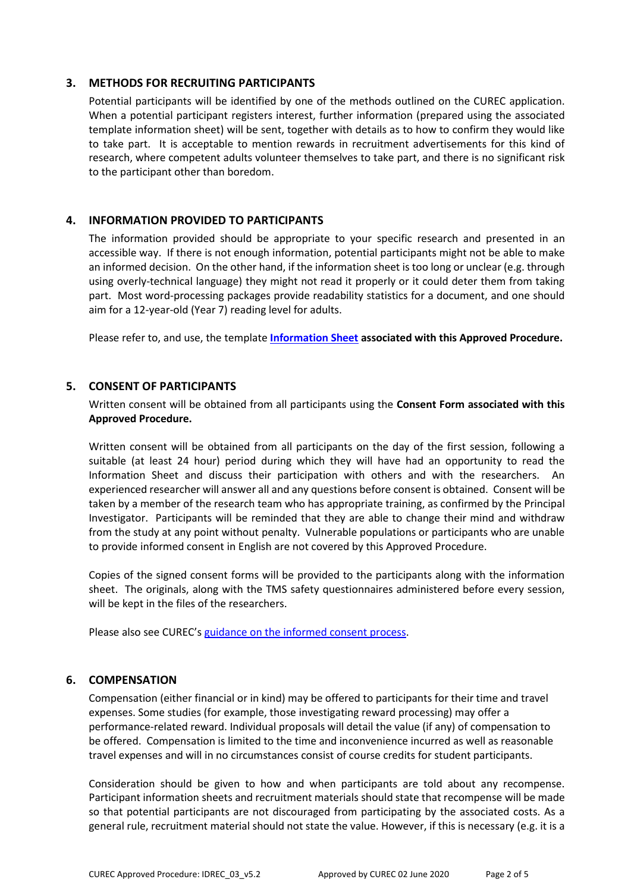### **3. METHODS FOR RECRUITING PARTICIPANTS**

Potential participants will be identified by one of the methods outlined on the CUREC application. When a potential participant registers interest, further information (prepared using the associated template information sheet) will be sent, together with details as to how to confirm they would like to take part. It is acceptable to mention rewards in recruitment advertisements for this kind of research, where competent adults volunteer themselves to take part, and there is no significant risk to the participant other than boredom.

### **4. INFORMATION PROVIDED TO PARTICIPANTS**

The information provided should be appropriate to your specific research and presented in an accessible way. If there is not enough information, potential participants might not be able to make an informed decision. On the other hand, if the information sheet is too long or unclear (e.g. through using overly-technical language) they might not read it properly or it could deter them from taking part. Most word-processing packages provide readability statistics for a document, and one should aim for a 12-year-old (Year 7) reading level for adults.

Please refer to, and use, the template **[Information Sheet](http://researchsupport.admin.ox.ac.uk/governance/ethics/resources/ap#collapse2-7) associated with this Approved Procedure.**

### **5. CONSENT OF PARTICIPANTS**

Written consent will be obtained from all participants using the **Consent Form associated with this Approved Procedure.**

Written consent will be obtained from all participants on the day of the first session, following a suitable (at least 24 hour) period during which they will have had an opportunity to read the Information Sheet and discuss their participation with others and with the researchers. An experienced researcher will answer all and any questions before consent is obtained. Consent will be taken by a member of the research team who has appropriate training, as confirmed by the Principal Investigator. Participants will be reminded that they are able to change their mind and withdraw from the study at any point without penalty. Vulnerable populations or participants who are unable to provide informed consent in English are not covered by this Approved Procedure.

Copies of the signed consent forms will be provided to the participants along with the information sheet. The originals, along with the TMS safety questionnaires administered before every session, will be kept in the files of the researchers.

Please also see CUREC's [guidance on the informed consent process.](http://researchsupport.admin.ox.ac.uk/governance/ethics/resources/consent)

### **6. COMPENSATION**

Compensation (either financial or in kind) may be offered to participants for their time and travel expenses. Some studies (for example, those investigating reward processing) may offer a performance-related reward. Individual proposals will detail the value (if any) of compensation to be offered. Compensation is limited to the time and inconvenience incurred as well as reasonable travel expenses and will in no circumstances consist of course credits for student participants.

Consideration should be given to how and when participants are told about any recompense. Participant information sheets and recruitment materials should state that recompense will be made so that potential participants are not discouraged from participating by the associated costs. As a general rule, recruitment material should not state the value. However, if this is necessary (e.g. it is a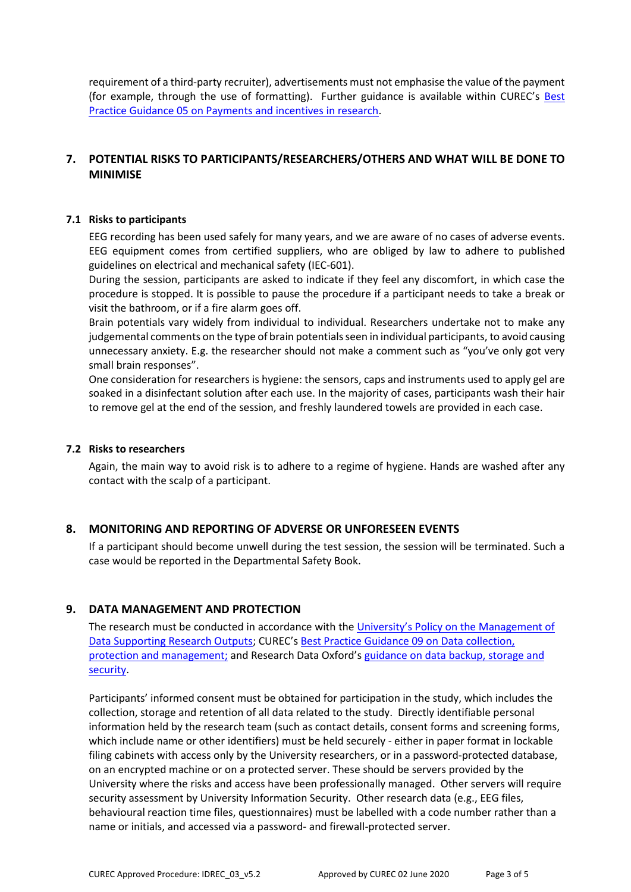requirement of a third-party recruiter), advertisements must not emphasise the value of the payment (for example, through the use of formatting). Further guidance is available within CUREC's Best [Practice Guidance 05 on Payments and incentives in research.](https://researchsupport.admin.ox.ac.uk/governance/ethics/resources/bpg)

# **7. POTENTIAL RISKS TO PARTICIPANTS/RESEARCHERS/OTHERS AND WHAT WILL BE DONE TO MINIMISE**

### **7.1 Risks to participants**

EEG recording has been used safely for many years, and we are aware of no cases of adverse events. EEG equipment comes from certified suppliers, who are obliged by law to adhere to published guidelines on electrical and mechanical safety (IEC-601).

During the session, participants are asked to indicate if they feel any discomfort, in which case the procedure is stopped. It is possible to pause the procedure if a participant needs to take a break or visit the bathroom, or if a fire alarm goes off.

Brain potentials vary widely from individual to individual. Researchers undertake not to make any judgemental comments on the type of brain potentials seen in individual participants, to avoid causing unnecessary anxiety. E.g. the researcher should not make a comment such as "you've only got very small brain responses".

One consideration for researchers is hygiene: the sensors, caps and instruments used to apply gel are soaked in a disinfectant solution after each use. In the majority of cases, participants wash their hair to remove gel at the end of the session, and freshly laundered towels are provided in each case.

### **7.2 Risks to researchers**

Again, the main way to avoid risk is to adhere to a regime of hygiene. Hands are washed after any contact with the scalp of a participant.

### **8. MONITORING AND REPORTING OF ADVERSE OR UNFORESEEN EVENTS**

If a participant should become unwell during the test session, the session will be terminated. Such a case would be reported in the Departmental Safety Book.

### **9. DATA MANAGEMENT AND PROTECTION**

The research must be conducted in accordance with the [University's Policy on the](hhttps://researchdata.ox.ac.uk/university-of-oxford-policy-on-the-management-of-data-supporting-research-outputs/) Management of [Data Supporting Research Outputs;](hhttps://researchdata.ox.ac.uk/university-of-oxford-policy-on-the-management-of-data-supporting-research-outputs/) CUREC's [Best Practice Guidance 09 on Data collection,](https://researchsupport.admin.ox.ac.uk/governance/ethics/resources/bpg)  [protection and management;](https://researchsupport.admin.ox.ac.uk/governance/ethics/resources/bpg) and Research Data Oxford's [guidance on data backup, storage and](https://researchdata.ox.ac.uk/home/managing-your-data-at-oxford/storage-and-backup)  [security.](https://researchdata.ox.ac.uk/home/managing-your-data-at-oxford/storage-and-backup)

Participants' informed consent must be obtained for participation in the study, which includes the collection, storage and retention of all data related to the study. Directly identifiable personal information held by the research team (such as contact details, consent forms and screening forms, which include name or other identifiers) must be held securely - either in paper format in lockable filing cabinets with access only by the University researchers, or in a password-protected database, on an encrypted machine or on a protected server. These should be servers provided by the University where the risks and access have been professionally managed. Other servers will require security assessment by University Information Security. Other research data (e.g., EEG files, behavioural reaction time files, questionnaires) must be labelled with a code number rather than a name or initials, and accessed via a password- and firewall-protected server.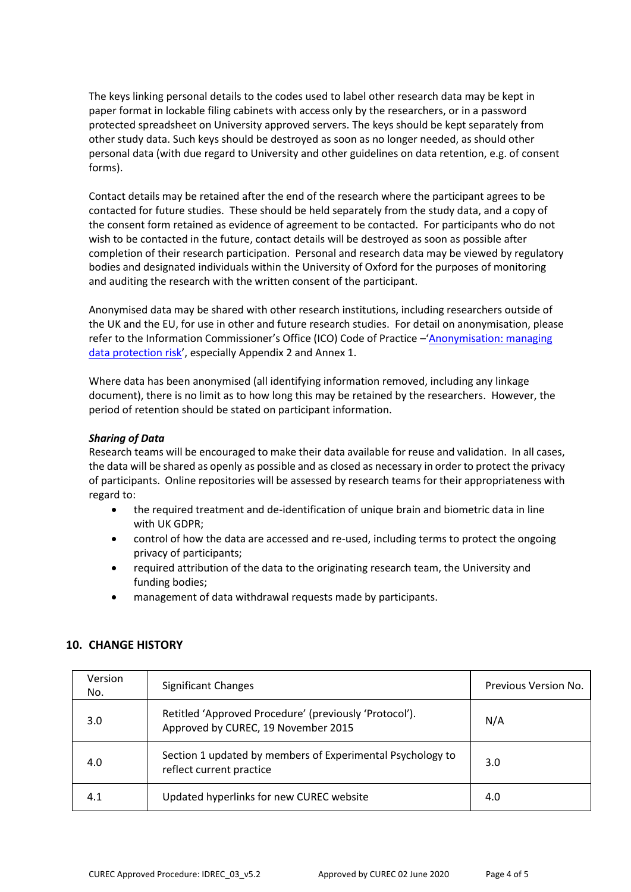The keys linking personal details to the codes used to label other research data may be kept in paper format in lockable filing cabinets with access only by the researchers, or in a password protected spreadsheet on University approved servers. The keys should be kept separately from other study data. Such keys should be destroyed as soon as no longer needed, as should other personal data (with due regard to University and other guidelines on data retention, e.g. of consent forms).

Contact details may be retained after the end of the research where the participant agrees to be contacted for future studies. These should be held separately from the study data, and a copy of the consent form retained as evidence of agreement to be contacted. For participants who do not wish to be contacted in the future, contact details will be destroyed as soon as possible after completion of their research participation. Personal and research data may be viewed by regulatory bodies and designated individuals within the University of Oxford for the purposes of monitoring and auditing the research with the written consent of the participant.

Anonymised data may be shared with other research institutions, including researchers outside of the UK and the EU, for use in other and future research studies. For detail on anonymisation, please refer to the Information Commissioner's Office (ICO) Code of Practice -'Anonymisation: managing [data protection risk](https://ico.org.uk/media/1061/anonymisation-code.pdf)', especially Appendix 2 and Annex 1.

Where data has been anonymised (all identifying information removed, including any linkage document), there is no limit as to how long this may be retained by the researchers. However, the period of retention should be stated on participant information.

### *Sharing of Data*

Research teams will be encouraged to make their data available for reuse and validation. In all cases, the data will be shared as openly as possible and as closed as necessary in order to protect the privacy of participants. Online repositories will be assessed by research teams for their appropriateness with regard to:

- the required treatment and de-identification of unique brain and biometric data in line with UK GDPR;
- control of how the data are accessed and re-used, including terms to protect the ongoing privacy of participants;
- required attribution of the data to the originating research team, the University and funding bodies;
- management of data withdrawal requests made by participants.

| Version<br>No. | <b>Significant Changes</b>                                                                    | Previous Version No. |
|----------------|-----------------------------------------------------------------------------------------------|----------------------|
| 3.0            | Retitled 'Approved Procedure' (previously 'Protocol').<br>Approved by CUREC, 19 November 2015 | N/A                  |
| 4.0            | Section 1 updated by members of Experimental Psychology to<br>reflect current practice        | 3.0                  |
| 4.1            | Updated hyperlinks for new CUREC website                                                      | 4.0                  |

### **10. CHANGE HISTORY**